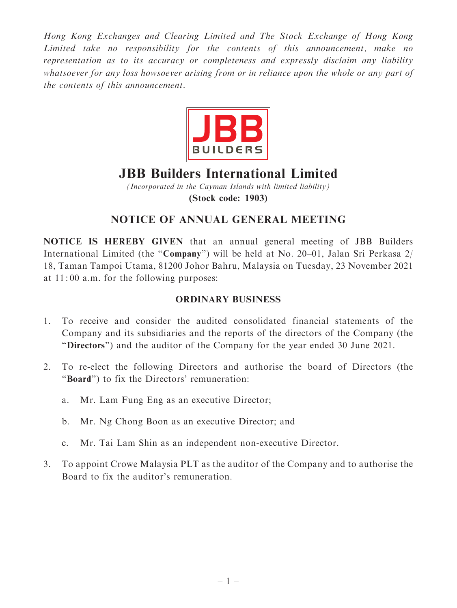Hong Kong Exchanges and Clearing Limited and The Stock Exchange of Hong Kong Limited take no responsibility for the contents of this announcement, make no representation as to its accuracy or completeness and expressly disclaim any liability whatsoever for any loss howsoever arising from or in reliance upon the whole or any part of the contents of this announcement.



# JBB Builders International Limited

(Incorporated in the Cayman Islands with limited liability) (Stock code: 1903)

# NOTICE OF ANNUAL GENERAL MEETING

NOTICE IS HEREBY GIVEN that an annual general meeting of JBB Builders International Limited (the ''Company'') will be held at No. 20–01, Jalan Sri Perkasa 2/ 18, Taman Tampoi Utama, 81200 Johor Bahru, Malaysia on Tuesday, 23 November 2021 at 11: 00 a.m. for the following purposes:

#### ORDINARY BUSINESS

- 1. To receive and consider the audited consolidated financial statements of the Company and its subsidiaries and the reports of the directors of the Company (the ''Directors'') and the auditor of the Company for the year ended 30 June 2021.
- 2. To re-elect the following Directors and authorise the board of Directors (the ''Board'') to fix the Directors' remuneration:
	- a. Mr. Lam Fung Eng as an executive Director;
	- b. Mr. Ng Chong Boon as an executive Director; and
	- c. Mr. Tai Lam Shin as an independent non-executive Director.
- 3. To appoint Crowe Malaysia PLT as the auditor of the Company and to authorise the Board to fix the auditor's remuneration.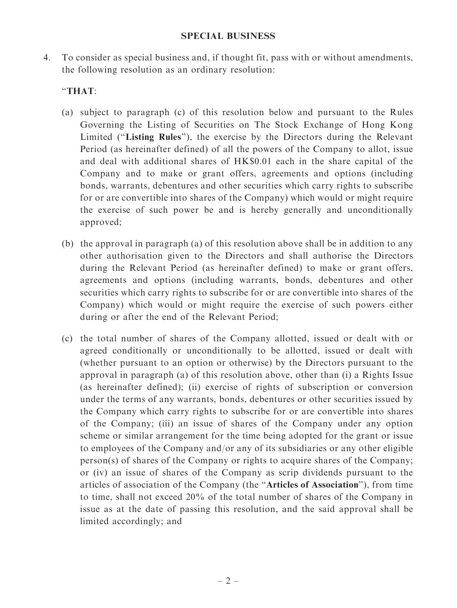4. To consider as special business and, if thought fit, pass with or without amendments, the following resolution as an ordinary resolution:

## ''THAT:

- (a) subject to paragraph (c) of this resolution below and pursuant to the Rules Governing the Listing of Securities on The Stock Exchange of Hong Kong Limited (''Listing Rules''), the exercise by the Directors during the Relevant Period (as hereinafter defined) of all the powers of the Company to allot, issue and deal with additional shares of HK\$0.01 each in the share capital of the Company and to make or grant offers, agreements and options (including bonds, warrants, debentures and other securities which carry rights to subscribe for or are convertible into shares of the Company) which would or might require the exercise of such power be and is hereby generally and unconditionally approved;
- (b) the approval in paragraph (a) of this resolution above shall be in addition to any other authorisation given to the Directors and shall authorise the Directors during the Relevant Period (as hereinafter defined) to make or grant offers, agreements and options (including warrants, bonds, debentures and other securities which carry rights to subscribe for or are convertible into shares of the Company) which would or might require the exercise of such powers either during or after the end of the Relevant Period;
- (c) the total number of shares of the Company allotted, issued or dealt with or agreed conditionally or unconditionally to be allotted, issued or dealt with (whether pursuant to an option or otherwise) by the Directors pursuant to the approval in paragraph (a) of this resolution above, other than (i) a Rights Issue (as hereinafter defined); (ii) exercise of rights of subscription or conversion under the terms of any warrants, bonds, debentures or other securities issued by the Company which carry rights to subscribe for or are convertible into shares of the Company; (iii) an issue of shares of the Company under any option scheme or similar arrangement for the time being adopted for the grant or issue to employees of the Company and/or any of its subsidiaries or any other eligible person(s) of shares of the Company or rights to acquire shares of the Company; or (iv) an issue of shares of the Company as scrip dividends pursuant to the articles of association of the Company (the ''Articles of Association''), from time to time, shall not exceed 20% of the total number of shares of the Company in issue as at the date of passing this resolution, and the said approval shall be limited accordingly; and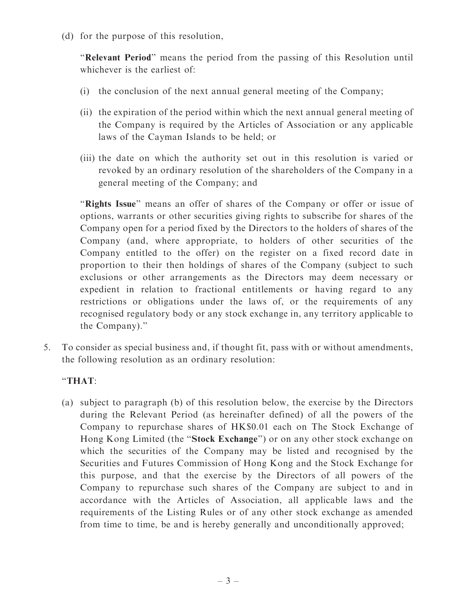(d) for the purpose of this resolution,

''Relevant Period'' means the period from the passing of this Resolution until whichever is the earliest of:

- (i) the conclusion of the next annual general meeting of the Company;
- (ii) the expiration of the period within which the next annual general meeting of the Company is required by the Articles of Association or any applicable laws of the Cayman Islands to be held; or
- (iii) the date on which the authority set out in this resolution is varied or revoked by an ordinary resolution of the shareholders of the Company in a general meeting of the Company; and

"Rights Issue" means an offer of shares of the Company or offer or issue of options, warrants or other securities giving rights to subscribe for shares of the Company open for a period fixed by the Directors to the holders of shares of the Company (and, where appropriate, to holders of other securities of the Company entitled to the offer) on the register on a fixed record date in proportion to their then holdings of shares of the Company (subject to such exclusions or other arrangements as the Directors may deem necessary or expedient in relation to fractional entitlements or having regard to any restrictions or obligations under the laws of, or the requirements of any recognised regulatory body or any stock exchange in, any territory applicable to the Company).''

5. To consider as special business and, if thought fit, pass with or without amendments, the following resolution as an ordinary resolution:

### ''THAT:

(a) subject to paragraph (b) of this resolution below, the exercise by the Directors during the Relevant Period (as hereinafter defined) of all the powers of the Company to repurchase shares of HK\$0.01 each on The Stock Exchange of Hong Kong Limited (the "Stock Exchange") or on any other stock exchange on which the securities of the Company may be listed and recognised by the Securities and Futures Commission of Hong Kong and the Stock Exchange for this purpose, and that the exercise by the Directors of all powers of the Company to repurchase such shares of the Company are subject to and in accordance with the Articles of Association, all applicable laws and the requirements of the Listing Rules or of any other stock exchange as amended from time to time, be and is hereby generally and unconditionally approved;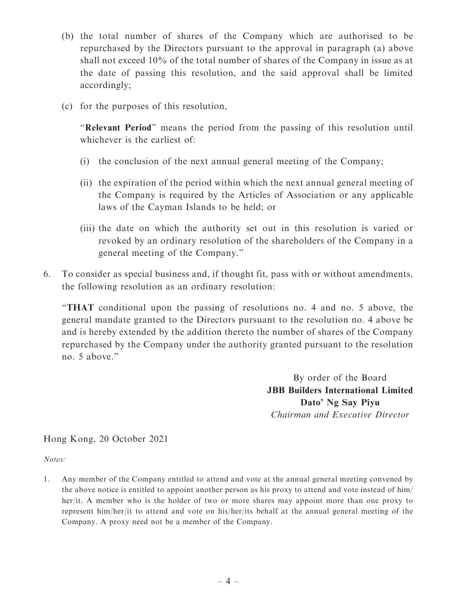- (b) the total number of shares of the Company which are authorised to be repurchased by the Directors pursuant to the approval in paragraph (a) above shall not exceed 10% of the total number of shares of the Company in issue as at the date of passing this resolution, and the said approval shall be limited accordingly;
- (c) for the purposes of this resolution,

"Relevant Period" means the period from the passing of this resolution until whichever is the earliest of

- (i) the conclusion of the next annual general meeting of the Company;
- (ii) the expiration of the period within which the next annual general meeting of the Company is required by the Articles of Association or any applicable laws of the Cayman Islands to be held; or
- (iii) the date on which the authority set out in this resolution is varied or revoked by an ordinary resolution of the shareholders of the Company in a general meeting of the Company.''
- 6. To consider as special business and, if thought fit, pass with or without amendments, the following resolution as an ordinary resolution:

''THAT conditional upon the passing of resolutions no. 4 and no. 5 above, the general mandate granted to the Directors pursuant to the resolution no. 4 above be and is hereby extended by the addition thereto the number of shares of the Company repurchased by the Company under the authority granted pursuant to the resolution no. 5 above.''

> By order of the Board JBB Builders International Limited Dato' Ng Say Piyu Chairman and Executive Director

Hong Kong, 20 October 2021

Notes:

1. Any member of the Company entitled to attend and vote at the annual general meeting convened by the above notice is entitled to appoint another person as his proxy to attend and vote instead of him/ her/it. A member who is the holder of two or more shares may appoint more than one proxy to represent him/her/it to attend and vote on his/her/its behalf at the annual general meeting of the Company. A proxy need not be a member of the Company.